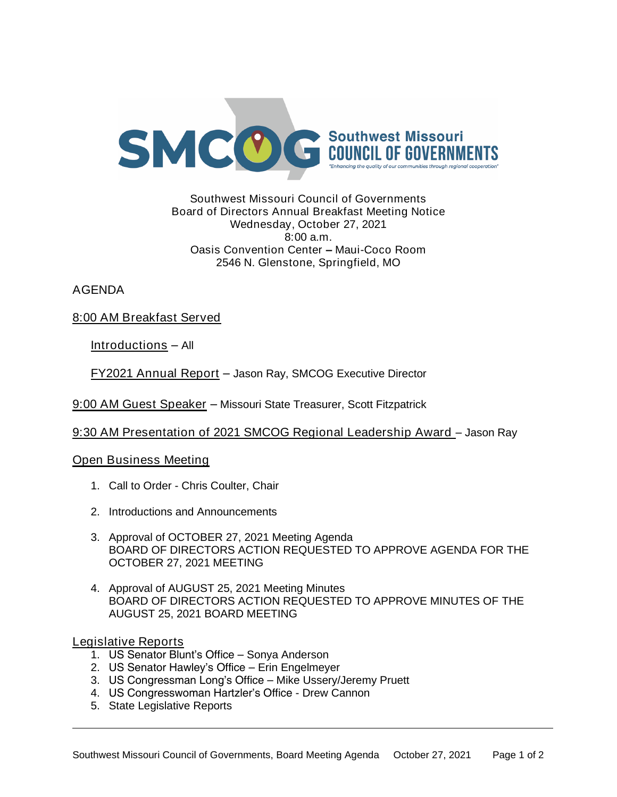

## Southwest Missouri Council of Governments Board of Directors Annual Breakfast Meeting Notice Wednesday, October 27, 2021 8:00 a.m. Oasis Convention Center – Maui-Coco Room 2546 N. Glenstone, Springfield, MO

AGENDA

8:00 AM Breakfast Served

Introductions – All

FY2021 Annual Report – Jason Ray, SMCOG Executive Director

9:00 AM Guest Speaker – Missouri State Treasurer, Scott Fitzpatrick

9:30 AM Presentation of 2021 SMCOG Regional Leadership Award – Jason Ray

Open Business Meeting

- 1. Call to Order Chris Coulter, Chair
- 2. Introductions and Announcements
- 3. Approval of OCTOBER 27, 2021 Meeting Agenda BOARD OF DIRECTORS ACTION REQUESTED TO APPROVE AGENDA FOR THE OCTOBER 27, 2021 MEETING
- 4. Approval of AUGUST 25, 2021 Meeting Minutes BOARD OF DIRECTORS ACTION REQUESTED TO APPROVE MINUTES OF THE AUGUST 25, 2021 BOARD MEETING

Legislative Reports

- 1. US Senator Blunt's Office Sonya Anderson
- 2. US Senator Hawley's Office Erin Engelmeyer
- 3. US Congressman Long's Office Mike Ussery/Jeremy Pruett
- 4. US Congresswoman Hartzler's Office Drew Cannon
- 5. State Legislative Reports